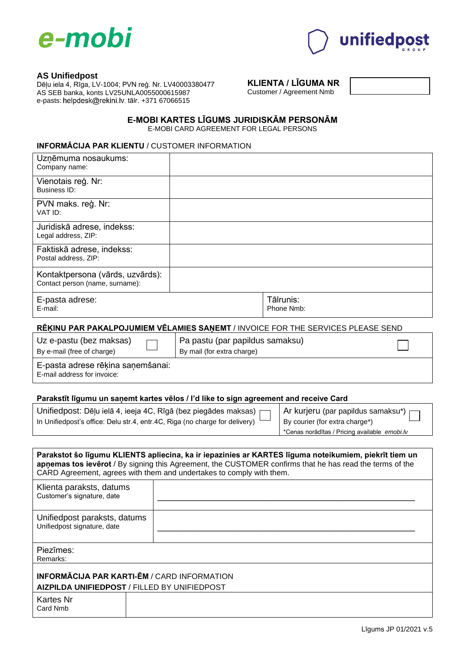



### **AS Unifiedpost**

Dēļu iela 4, Rīga, LV-1004; PVN reģ. Nr. LV40003380477 AS SEB banka, konts LV25UNLA0055000615987 e-pasts: helpdesk@frekini.lv, tālr. +371 67066515

# **KLIENTA / LĪGUMA NR**

Customer / Agreement Nmb

| E-MOBI KARTES LĪGUMS JURIDISKĀM PERSONĀM |  |
|------------------------------------------|--|
| E-MOBI CARD AGREEMENT FOR LEGAL PERSONS  |  |

## **INFORMĀCIJA PAR KLIENTU** / CUSTOMER INFORMATION

| Uzņēmuma nosaukums:<br>Company name:                                |                         |
|---------------------------------------------------------------------|-------------------------|
| Vienotais reģ. Nr:<br>Business ID:                                  |                         |
| PVN maks. reģ. Nr:<br>VAT ID:                                       |                         |
| Juridiskā adrese, indekss:<br>Legal address, ZIP:                   |                         |
| Faktiskā adrese, indekss:<br>Postal address, ZIP:                   |                         |
| Kontaktpersona (vārds, uzvārds):<br>Contact person (name, surname): |                         |
| E-pasta adrese:<br>E-mail:                                          | Tālrunis:<br>Phone Nmb: |
|                                                                     |                         |

## **RĒĶINU PAR PAKALPOJUMIEM VĒLAMIES SAŅEMT** / INVOICE FOR THE SERVICES PLEASE SEND

Uz e-pastu (bez maksas)

Pa pastu (par papildus samaksu)

By e-mail (free of charge)

By mail (for extra charge)

E-pasta adrese rēķina saņemšanai: E-mail address for invoice:

#### **Parakstīt līgumu un saņemt kartes vēlos / I'd like to sign agreement and receive Card**

| Unifiedpost: Dēļu ielā 4, ieeja 4C, Rīgā (bez piegādes maksas)              |
|-----------------------------------------------------------------------------|
| In Unifiedpost's office: Delu str.4, entr.4C, Riga (no charge for delivery) |

Ar kurjeru (par papildus samaksu\*) By courier (for extra charge\*)

\*Cenas norādītas / Pricing available *emobi.lv*

| Parakstot šo līgumu KLIENTS apliecina, ka ir iepazinies ar KARTES līguma noteikumiem, piekrīt tiem un<br>apnemas tos ieverot / By signing this Agreement, the CUSTOMER confirms that he has read the terms of the<br>CARD Agreement, agrees with them and undertakes to comply with them. |                                                                                                           |  |  |  |  |
|-------------------------------------------------------------------------------------------------------------------------------------------------------------------------------------------------------------------------------------------------------------------------------------------|-----------------------------------------------------------------------------------------------------------|--|--|--|--|
| Klienta paraksts, datums<br>Customer's signature, date                                                                                                                                                                                                                                    |                                                                                                           |  |  |  |  |
| Unifiedpost paraksts, datums<br>Unifiedpost signature, date                                                                                                                                                                                                                               |                                                                                                           |  |  |  |  |
| Piezīmes:<br>Remarks:                                                                                                                                                                                                                                                                     |                                                                                                           |  |  |  |  |
|                                                                                                                                                                                                                                                                                           | <b>INFORMĀCIJA PAR KARTI-ĒM / CARD INFORMATION</b><br><b>AIZPILDA UNIFIEDPOST / FILLED BY UNIFIEDPOST</b> |  |  |  |  |
| Kartes Nr<br>Card Nmb                                                                                                                                                                                                                                                                     |                                                                                                           |  |  |  |  |